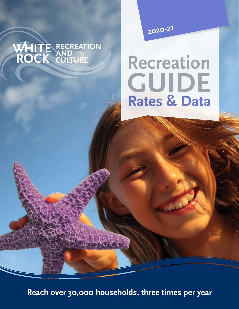# WHITE RECREATION

**2020-<sup>21</sup>**

# **Recreation Rates & Data GUIDE**

**Reach over 30,000 households, three times per year**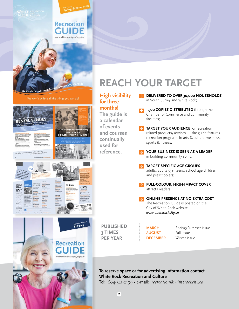See inside for over 30 different

RENTAL VENUES

 $55+$ 

and .

 $\frac{1}{200}$ 

10

to the next<br>Street Auto

 $\begin{bmatrix} 1 & 0 & 0 \\ 0 & 1 & 0 \\ 0 & 0 & 0 \\ 0 & 0 & 0 \\ 0 & 0 & 0 \\ 0 & 0 & 0 \\ 0 & 0 & 0 \\ 0 & 0 & 0 \\ 0 & 0 & 0 \\ 0 & 0 & 0 \\ 0 & 0 & 0 \\ 0 & 0 & 0 \\ 0 & 0 & 0 \\ 0 & 0 & 0 \\ 0 & 0 & 0 & 0 \\ 0 & 0 & 0 & 0 \\ 0 & 0 & 0 & 0 \\ 0 & 0 & 0 & 0 & 0 \\ 0 & 0 & 0 & 0 & 0 \\ 0 & 0 & 0 & 0 & 0 \\ 0 & 0 &$  $\frac{1}{\sqrt{2}}$ 

| <b>Recreation</b><br><b>GUIDE</b><br>www.whiterockcity.ca/register |            |
|--------------------------------------------------------------------|------------|
|                                                                    |            |
| summer camps for kids                                              | <b>REA</b> |

**March August**<br>Spring|Summer 2019

## *<u>CH YOUR TARGET</u>*

| <b>High visibility</b><br>for three            | DELIVERED TO OVER 30,000 HOUSEHOLDS<br>in South Surrey and White Rock;                                                                                                |
|------------------------------------------------|-----------------------------------------------------------------------------------------------------------------------------------------------------------------------|
| months!<br>The guide is<br>a calendar          | 1,500 COPIES DISTRIBUTED through the<br>Chamber of Commerce and community<br>facilities;                                                                              |
| and courses<br>continually                     | <b>TARGET YOUR AUDIENCE</b> for recreation<br>related products/services - the guide features<br>recreation programs in arts & culture, wellness,<br>sports & fitness; |
| reference.                                     | YOUR BUSINESS IS SEEN AS A LEADER<br>in building community spirit;                                                                                                    |
|                                                | <b>TARGET SPECIFIC AGE GROUPS -</b><br>adults, adults 55+, teens, school age children<br>and preschoolers;                                                            |
|                                                | <b>FULL-COLOUR, HIGH-IMPACT COVER</b><br>attracts readers;<br><b>ONLINE PRESENCE AT NO EXTRA COST</b><br>→                                                            |
|                                                | The Recreation Guide is posted on the<br>City of White Rock website:<br>www.whiterockcity.ca                                                                          |
| <b>PUBLISHED</b><br>3 TIMES<br><b>PER YEAR</b> | <b>MARCH</b><br>Spring/Summer issue<br>Fall issue<br><b>AUGUST</b><br><b>DECEMBER</b><br>Winter issue                                                                 |
|                                                | To reserve space or for advertising information contact<br>Tel: 604-541-2199 · e-mail: recreation@whiterockcity.ca                                                    |
|                                                | of events<br>used for<br><b>White Rock Recreation and Culture</b>                                                                                                     |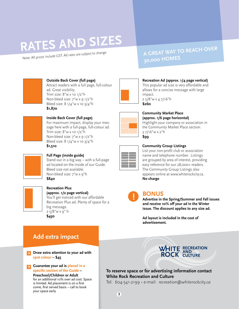# **RATES AND SIZES**

Note: All prices include GST. Ad rates are subject to change.

### **A GREAT WAY TO REACH OVER 30,000 HOMES**

**Recreation Ad (approx. 1/4 page vertical)** This popular ad size is very affordable and allows for a concise message with large

Highlight your company or association in the Community Market Place section.



#### **Outside Back Cover (full page)**

Attract readers with a full page, full-colour ad. Great visibility. Trim size: 8"w x 10 1/2"h Non-bleed size: 7"w x 9 1/2"h Bleed size: 8 1/4"w x 10 3/4"h **\$1,870**



**Inside Back Cover (full page)** For maximum impact, display your message here with a full-page, full-colour ad. Trim size: 8"w x 10 1/2"h Non-bleed size: 7"w x 9 1/2"h Bleed size: 8 1/4"w x 10 3/4"h **\$1,510**

**Full Page (inside guide)** 

Stand out in a big way – with a full-page ad located on the inside of our Guide. Bleed size not available. Non-bleed size: 7"w x 9"h **\$840**



#### **Recreation Plus (approx. 1/2 page vertical)**

You'll get noticed with our affordable Recreation Plus ad. Plenty of space for a big message. 2 5/8"w x 9" h

**\$450**



#### 3 7/16"w x 2"h **\$99**

**Community Market Place (approx. 1/6 page horizontal)**

impact.

**\$260**

2 5/8"w x 4 7/16"h

| _ |
|---|
|   |
|   |
|   |
|   |
|   |

#### **Community Group Listings**

List your non-profit club or association name and telephone number. Listings are grouped by area of interest, providing easy reference for our 28,000+ readers. The Community Group Listings also appears online at www.whiterockcity.ca. **No charge**

**!**

#### **BONUS**

**Advertise in the Spring/Summer and Fall issues and receive 10% off your ad in the Winter issue. The discount applies to any size ad.**

**Ad layout is included in the cost of advertisement.**

#### **Add extra impact**

**Draw extra attention to your ad with**  ™ **spot colour – \$45**

**Guarantee your ad is placed in a**  ™ **specific section of the Guide –** 

**Preschool/Children or Adult**  for an additional 10% over ad cost. Space is limited. Ad placement is on a first come, first served basis – call to book your space early.



#### **To reserve space or for advertising information contact White Rock Recreation and Culture**

Tel: 604-541-2199 • e-mail: *recreation@whiterockcity.ca*